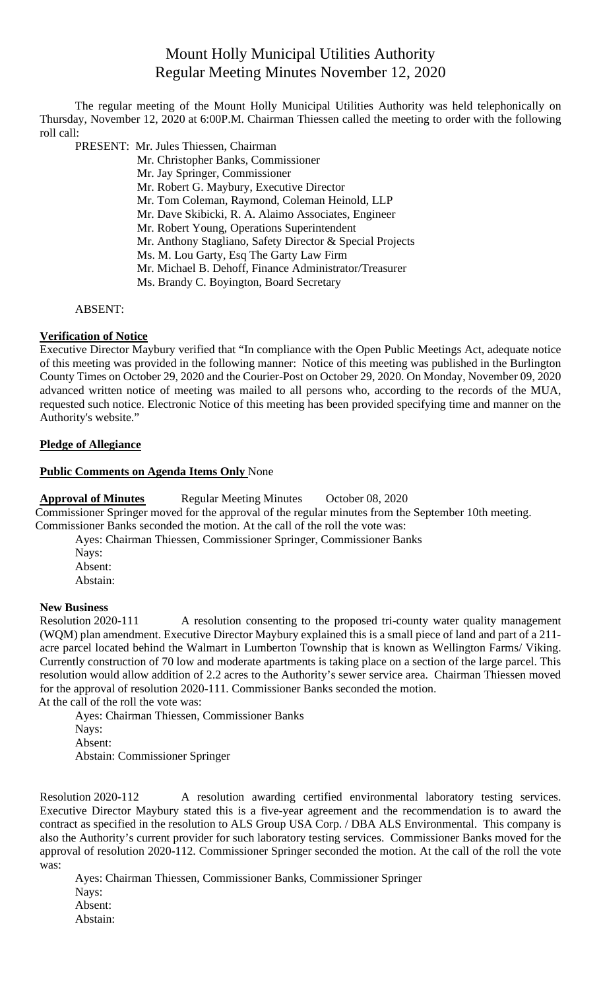# Mount Holly Municipal Utilities Authority Regular Meeting Minutes November 12, 2020

The regular meeting of the Mount Holly Municipal Utilities Authority was held telephonically on Thursday, November 12, 2020 at 6:00P.M. Chairman Thiessen called the meeting to order with the following roll call:

PRESENT: Mr. Jules Thiessen, Chairman

Mr. Christopher Banks, Commissioner Mr. Jay Springer, Commissioner Mr. Robert G. Maybury, Executive Director Mr. Tom Coleman, Raymond, Coleman Heinold, LLP Mr. Dave Skibicki, R. A. Alaimo Associates, Engineer Mr. Robert Young, Operations Superintendent Mr. Anthony Stagliano, Safety Director & Special Projects Ms. M. Lou Garty, Esq The Garty Law Firm Mr. Michael B. Dehoff, Finance Administrator/Treasurer Ms. Brandy C. Boyington, Board Secretary

#### ABSENT:

## **Verification of Notice**

Executive Director Maybury verified that "In compliance with the Open Public Meetings Act, adequate notice of this meeting was provided in the following manner: Notice of this meeting was published in the Burlington County Times on October 29, 2020 and the Courier-Post on October 29, 2020. On Monday, November 09, 2020 advanced written notice of meeting was mailed to all persons who, according to the records of the MUA, requested such notice. Electronic Notice of this meeting has been provided specifying time and manner on the Authority's website."

#### **Pledge of Allegiance**

#### **Public Comments on Agenda Items Only** None

Approval of Minutes Regular Meeting Minutes October 08, 2020 Commissioner Springer moved for the approval of the regular minutes from the September 10th meeting. Commissioner Banks seconded the motion. At the call of the roll the vote was:

Ayes: Chairman Thiessen, Commissioner Springer, Commissioner Banks Nays: Absent: Abstain:

#### **New Business**

Resolution 2020-111 A resolution consenting to the proposed tri-county water quality management (WQM) plan amendment. Executive Director Maybury explained this is a small piece of land and part of a 211 acre parcel located behind the Walmart in Lumberton Township that is known as Wellington Farms/ Viking. Currently construction of 70 low and moderate apartments is taking place on a section of the large parcel. This resolution would allow addition of 2.2 acres to the Authority's sewer service area. Chairman Thiessen moved for the approval of resolution 2020-111. Commissioner Banks seconded the motion. At the call of the roll the vote was:

Ayes: Chairman Thiessen, Commissioner Banks Nays: Absent: Abstain: Commissioner Springer

Resolution 2020-112 A resolution awarding certified environmental laboratory testing services. Executive Director Maybury stated this is a five-year agreement and the recommendation is to award the contract as specified in the resolution to ALS Group USA Corp. / DBA ALS Environmental. This company is also the Authority's current provider for such laboratory testing services. Commissioner Banks moved for the approval of resolution 2020-112. Commissioner Springer seconded the motion. At the call of the roll the vote was:

Ayes: Chairman Thiessen, Commissioner Banks, Commissioner Springer Nays: Absent: Abstain: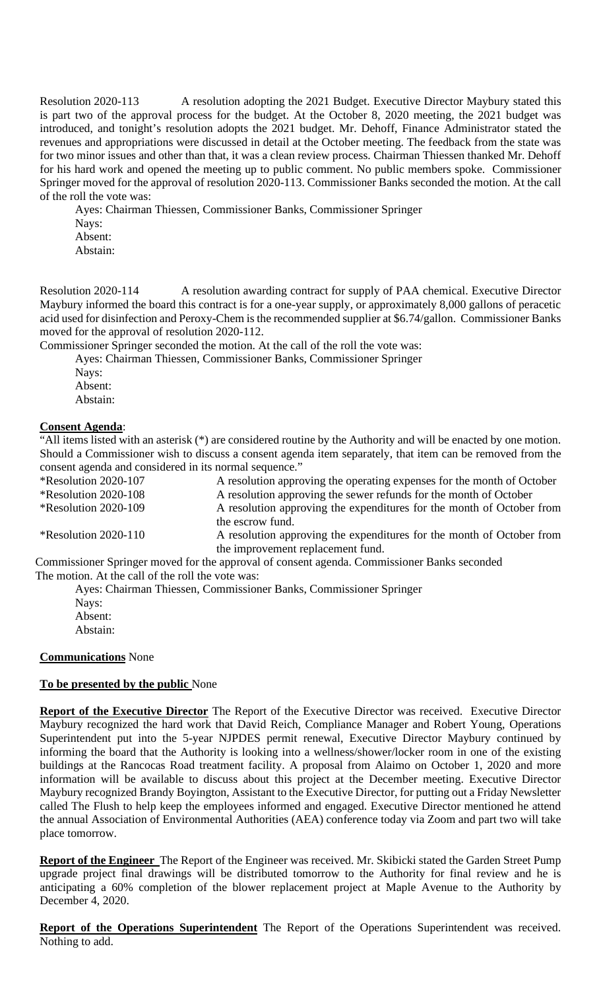Resolution 2020-113 A resolution adopting the 2021 Budget. Executive Director Maybury stated this is part two of the approval process for the budget. At the October 8, 2020 meeting, the 2021 budget was introduced, and tonight's resolution adopts the 2021 budget. Mr. Dehoff, Finance Administrator stated the revenues and appropriations were discussed in detail at the October meeting. The feedback from the state was for two minor issues and other than that, it was a clean review process. Chairman Thiessen thanked Mr. Dehoff for his hard work and opened the meeting up to public comment. No public members spoke. Commissioner Springer moved for the approval of resolution 2020-113. Commissioner Banks seconded the motion. At the call of the roll the vote was:

Ayes: Chairman Thiessen, Commissioner Banks, Commissioner Springer Nays: Absent: Abstain:

Resolution 2020-114 A resolution awarding contract for supply of PAA chemical. Executive Director Maybury informed the board this contract is for a one-year supply, or approximately 8,000 gallons of peracetic acid used for disinfection and Peroxy-Chem is the recommended supplier at \$6.74/gallon. Commissioner Banks moved for the approval of resolution 2020-112.

Commissioner Springer seconded the motion. At the call of the roll the vote was:

Ayes: Chairman Thiessen, Commissioner Banks, Commissioner Springer

Nays: Absent:

Abstain:

## **Consent Agenda**:

"All items listed with an asterisk (\*) are considered routine by the Authority and will be enacted by one motion. Should a Commissioner wish to discuss a consent agenda item separately, that item can be removed from the consent agenda and considered in its normal sequence."

\*Resolution 2020-107 A resolution approving the operating expenses for the month of October \*Resolution 2020-108 A resolution approving the sewer refunds for the month of October \*Resolution 2020-109 A resolution approving the expenditures for the month of October from the escrow fund.

\*Resolution 2020-110 A resolution approving the expenditures for the month of October from the improvement replacement fund.

Commissioner Springer moved for the approval of consent agenda. Commissioner Banks seconded The motion. At the call of the roll the vote was:

Ayes: Chairman Thiessen, Commissioner Banks, Commissioner Springer

Nays: Absent: Abstain:

## **Communications** None

## **To be presented by the public** None

**Report of the Executive Director** The Report of the Executive Director was received. Executive Director Maybury recognized the hard work that David Reich, Compliance Manager and Robert Young, Operations Superintendent put into the 5-year NJPDES permit renewal, Executive Director Maybury continued by informing the board that the Authority is looking into a wellness/shower/locker room in one of the existing buildings at the Rancocas Road treatment facility. A proposal from Alaimo on October 1, 2020 and more information will be available to discuss about this project at the December meeting. Executive Director Maybury recognized Brandy Boyington, Assistant to the Executive Director, for putting out a Friday Newsletter called The Flush to help keep the employees informed and engaged. Executive Director mentioned he attend the annual Association of Environmental Authorities (AEA) conference today via Zoom and part two will take place tomorrow.

**Report of the Engineer** The Report of the Engineer was received. Mr. Skibicki stated the Garden Street Pump upgrade project final drawings will be distributed tomorrow to the Authority for final review and he is anticipating a 60% completion of the blower replacement project at Maple Avenue to the Authority by December 4, 2020.

**Report of the Operations Superintendent** The Report of the Operations Superintendent was received. Nothing to add.